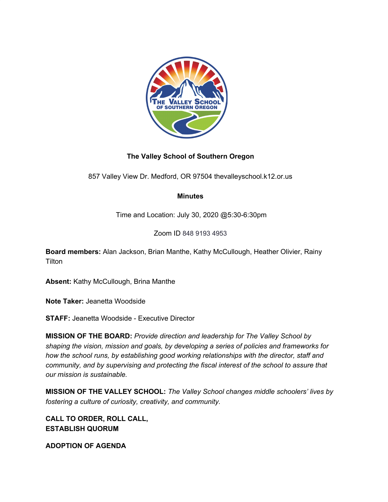

# **The Valley School of Southern Oregon**

857 Valley View Dr. Medford, OR 97504 thevalleyschool.k12.or.us

# **Minutes**

Time and Location: July 30, 2020 @5:30-6:30pm

Zoom ID 848 9193 4953

**Board members:** Alan Jackson, Brian Manthe, Kathy McCullough, Heather Olivier, Rainy **Tilton** 

**Absent:** Kathy McCullough, Brina Manthe

**Note Taker:** Jeanetta Woodside

**STAFF:** Jeanetta Woodside - Executive Director

**MISSION OF THE BOARD:** *Provide direction and leadership for The Valley School by shaping the vision, mission and goals, by developing a series of policies and frameworks for how the school runs, by establishing good working relationships with the director, staff and community, and by supervising and protecting the fiscal interest of the school to assure that our mission is sustainable.*

**MISSION OF THE VALLEY SCHOOL:** *The Valley School changes middle schoolers' lives by fostering a culture of curiosity, creativity, and community.*

**CALL TO ORDER, ROLL CALL, ESTABLISH QUORUM**

**ADOPTION OF AGENDA**